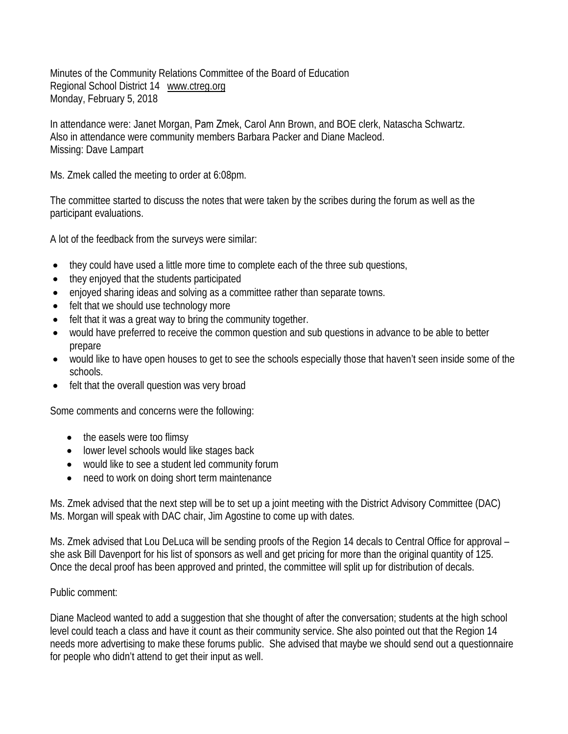Minutes of the Community Relations Committee of the Board of Education Regional School District 14 www.ctreg.org Monday, February 5, 2018

In attendance were: Janet Morgan, Pam Zmek, Carol Ann Brown, and BOE clerk, Natascha Schwartz. Also in attendance were community members Barbara Packer and Diane Macleod. Missing: Dave Lampart

Ms. Zmek called the meeting to order at 6:08pm.

The committee started to discuss the notes that were taken by the scribes during the forum as well as the participant evaluations.

A lot of the feedback from the surveys were similar:

- they could have used a little more time to complete each of the three sub questions,
- they enjoyed that the students participated
- enjoyed sharing ideas and solving as a committee rather than separate towns.
- felt that we should use technology more
- felt that it was a great way to bring the community together.
- would have preferred to receive the common question and sub questions in advance to be able to better prepare
- would like to have open houses to get to see the schools especially those that haven't seen inside some of the schools.
- felt that the overall question was very broad

Some comments and concerns were the following:

- the easels were too flimsy
- lower level schools would like stages back
- would like to see a student led community forum
- need to work on doing short term maintenance

Ms. Zmek advised that the next step will be to set up a joint meeting with the District Advisory Committee (DAC) Ms. Morgan will speak with DAC chair, Jim Agostine to come up with dates.

Ms. Zmek advised that Lou DeLuca will be sending proofs of the Region 14 decals to Central Office for approval – she ask Bill Davenport for his list of sponsors as well and get pricing for more than the original quantity of 125. Once the decal proof has been approved and printed, the committee will split up for distribution of decals.

## Public comment:

Diane Macleod wanted to add a suggestion that she thought of after the conversation; students at the high school level could teach a class and have it count as their community service. She also pointed out that the Region 14 needs more advertising to make these forums public. She advised that maybe we should send out a questionnaire for people who didn't attend to get their input as well.